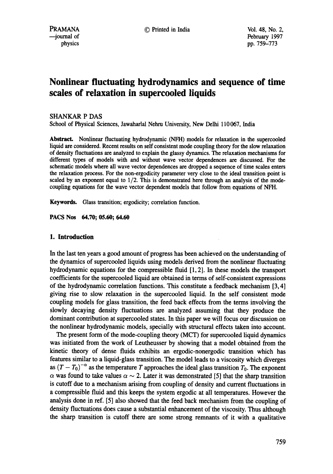# **Nonlinear fluctuating hydrodynamics and sequence of time scales of relaxation in supercooled liquids**

### SHANKAR P DAS

School of Physical Sciences, Jawaharlal Nehru University, New Delhi 110067, India

Abstract. Nonlinear fluctuating hydrodynamic (NFH) models for relaxation in the supercooled liquid are considered. Recent results on self consistent mode coupling theory for the slow relaxation of density fluctuations are analyzed to explain the glassy dynamics. The relaxation mechanisms for different types of models with and without wave vector dependences are discussed. For the schematic models where all wave vector dependences are dropped a sequence of time scales enters the relaxation process. For the non-ergodicity parameter very close to the ideal transition point is scaled by an exponent equal to  $1/2$ . This is demonstrated here through an analysis of the modecoupling equations for the wave vector dependent models that follow from equations of NFH.

Keywords. Glass transition; ergodicity; correlation function.

**PACS Nos 64.70; 05.60; 64.60** 

## **1. Introduction**

In the last ten years a good amount of progress has been achieved on the understanding of the dynamics of supercooled liquids using models derived from the nonlinear fluctuating hydrodynamic equations for the compressible fluid [1, 2]. In these models the transport coefficients for the supercooled liquid are obtained in terms of self-consistent expressions of the hydrodynamic correlation functions. This constitute a feedback mechanism [3, 4] giving rise to slow relaxation in the supercooled liquid. In the self consistent mode coupling models for glass transition, the feed back effects from the terms involving the slowly decaying density fluctuations are analyzed assuming that they produce the dominant contribution at supercooled states. In this paper we will focus our discussion on the nonlinear hydrodynamic models, specially with structural effects taken into account.

The present form of the mode-coupling theory (MCT) for supercooled liquid dynamics was initiated from the work of Leutheusser by showing that a model obtained from the kinetic theory of dense fluids exhibits an ergodic-nonergodic transition which has features similar to a liquid-glass transition. The model leads to a viscosity which diverges as  $(T - T_0)^{-\alpha}$  as the temperature T approaches the ideal glass transition  $T_0$ . The exponent  $\alpha$  was found to take values  $\alpha \sim 2$ . Later it was demonstrated [5] that the sharp transition is cutoff due to a mechanism arising from coupling of density and current fluctuations in a compressible fluid and this keeps the system ergodic at all temperatures. However the analysis done in ref. [5] also showed that the feed back mechanism from the coupling of density fluctuations does cause a substantial enhancement of the viscosity. Thus although the sharp transition is cutoff there are some strong remnants of it with a qualitative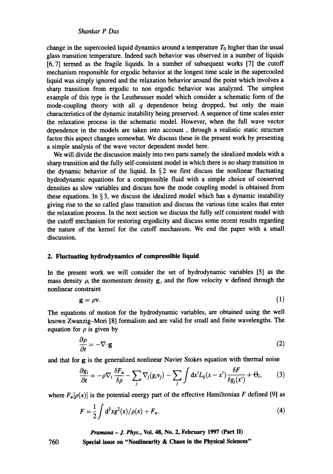change in the supercooled liquid dynamics around a temperature  $T_0$  higher than the usual glass transition temperature. Indeed such behavior was observed in a number of liquids [6, 7] termed as the fragile liquids. In a number of subsequent works [7] the cutoff mechanism responsible for ergodic behavior at the longest time scale in the supercooled liquid was simply ignored and the relaxation behavior around the point which involves a sharp transition from ergodic to non ergodic behavior was analyzed. The simplest example of this type is the Leutheusser model which consider a schematic form of the mode-coupling theory with all  $q$  dependence being dropped, but only the main characteristics of the dynamic instability being preserved. A sequence of time scales enter the relaxation process in the schematic model. However, when the full wave vector dependence in the models are taken into account, through a realistic static structure factor this aspect changes somewhat. We discuss these in the present work by presenting a simple analysis of the wave vector dependent model here.

We will divide the discussion mainly into two parts namely the idealized models with a sharp transition and the fully self-consistent model in which there is no sharp transition in the dynamic behavior of the liquid. In  $\S 2$  we first discuss the nonlinear fluctuating hydrodynamic equations for a compressible fluid with a simple choice of conserved densities as slow variables and discuss how the mode coupling model is obtained from these equations. In  $\S 3$ , we discuss the idealized model which has a dynamic instability giving rise to the so called glass transition and discuss the various time scales that enter the relaxation process. In the next section we discuss the fully self consistent model with the cutoff mechanism for restoring ergodicity and discuss some recent results regarding the nature of the kernel for the cutoff mechanism. We end the paper with a small discussion.

#### **2. Fluctuating hydrodynamics of compressible liquid**

In the present work we will consider the set of hydrodynamic variables [5] as the mass density  $\rho$ , the momentum density g, and the flow velocity v defined through the nonlinear constraint

$$
\mathbf{g} = \rho \mathbf{v}.\tag{1}
$$

The equations of motion for the hydrodynamic variables, are obtained using the well known Zwanzig-Mori [8] formalism and are valid for small and finite wavelengths. The equation for  $\rho$  is given by

$$
\frac{\partial \rho}{\partial t} = -\nabla \cdot \mathbf{g} \tag{2}
$$

and that for g is the generalized nonlinear Navier Stokes equation with thermal noise

$$
\frac{\partial g_i}{\partial t} = -\rho \nabla_i \frac{\delta F_u}{\delta \rho} - \sum_j \nabla_j (g_i v_j) - \sum_j \int dx' L_{ij} (x - x') \frac{\delta F}{\delta g_j(x')} + \Theta_i, \qquad (3)
$$

where  $F_u[\rho(x)]$  is the potential energy part of the effective Hamiltonian F defined [9] as

$$
F = \frac{1}{2} \int d^3x g^2(x) / \rho(x) + F_u.
$$
 (4)

*Pramana - J. Phys.,* **Vol. 48, No. 2, February 1997 (Part 1I)** 

**Special issue on "Nonlinearity & Chaos in the Physical Sciences"**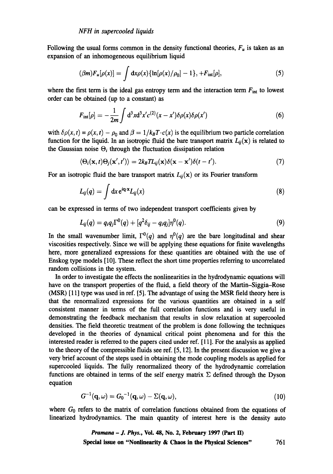Following the usual forms common in the density functional theories,  $F_u$  is taken as an expansion of an inhomogeneous equilibrium liquid

$$
(\beta m)F_u[\rho(x)] = \int dx \rho(x) \{ \ln[\rho(x)/\rho_0] - 1 \}, + F_{int}[\rho], \qquad (5)
$$

where the first term is the ideal gas entropy term and the interaction term  $F_{\text{int}}$  to lowest order can be obtained (up to a constant) as

$$
F_{\rm int}[\rho] = -\frac{1}{2m} \int d^3x d^3x' c^{(2)}(x-x') \delta\rho(x) \delta\rho(x')
$$
 (6)

with  $\delta \rho(x, t) = \rho(x, t) - \rho_0$  and  $\beta = 1/k_B T \cdot c(x)$  is the equilibrium two particle correlation function for the liquid. In an isotropic fluid the bare transport matrix  $L_{ii}(\mathbf{x})$  is related to the Gaussian noise  $\Theta_i$  through the fluctuation dissipation relation

$$
\langle \Theta_i(\mathbf{x},t)\Theta_j(\mathbf{x}',t')\rangle = 2k_B T L_{ij}(\mathbf{x})\delta(\mathbf{x}-\mathbf{x}')\delta(t-t').
$$
\n(7)

For an isotropic fluid the bare transport matrix  $L_{ij}(\mathbf{x})$  or its Fourier transform

$$
L_{ij}(q) = \int dx e^{iq \cdot x} L_{ij}(x)
$$
 (8)

can be expressed in terms of two independent transport coefficients given by

$$
L_{ij}(q) = q_i q_j \Gamma^0(q) + [q^2 \delta_{ij} - q_i q_j] \eta^0(q). \qquad (9)
$$

In the small wavenumber limit,  $\Gamma^0(q)$  and  $\eta^0(q)$  are the bare longitudinal and shear viscosities respectively. Since we will be applying these equations for finite wavelengths here, more generalized expressions for these quantities are obtained with the use of Enskog type models [10]. These reflect the short time properties referring to uncorrelated random collisions in the system.

In order to investigate the effects the nonlinearities in the hydrodynamic equations will have on the transport properties of the fluid, a field theory of the Martin-Siggia-Rose (MSR) [11] type was used in ref. [5]. The advantage of using the MSR field theory here is that the renormalized expressions for the various quantities are obtained in a self consistent manner in terms of the full correlation functions and is very useful in demonstrating the feedback mechanism that results in slow relaxation at supercooled densities. The field theoretic treatment of the problem is done following the techniques developed in the theories of dynamical critical point phenomena and for this the interested reader is referred to the papers cited under ref. [11]. For the analysis as applied to the theory of the compressible fluids see ref. [5, 12]. In the present discussion we give a very brief account of the steps used in obtaining the mode coupling models as applied for supercooled liquids. The fully renormalized theory of the hydrodynamic correlation functions are obtained in terms of the self energy matrix  $\Sigma$  defined through the Dyson equation

$$
G^{-1}(\mathbf{q},\omega) = G_0^{-1}(\mathbf{q},\omega) - \Sigma(\mathbf{q},\omega), \qquad (10)
$$

where  $G_0$  refers to the matrix of correlation functions obtained from the equations of linearizod hydrodynamics. The main quantity of interest here is the density auto

> *Pramana - J. Phys., Vol. 48, No. 2, February 1997 (Part II)* **Special issue on "Nonlinearity & Chaos in the Physical Sciences"** 761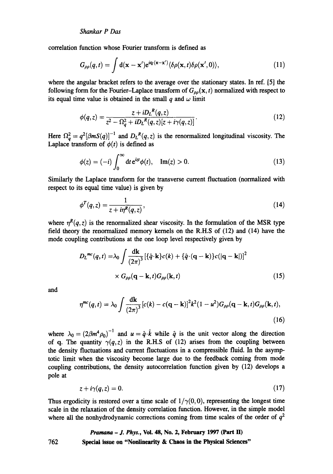correlation function whose Fourier transform is defined as

$$
G_{\rho\rho}(q,t) = \int d(\mathbf{x} - \mathbf{x}') e^{i\mathbf{q}\cdot(\mathbf{x} - \mathbf{x}')} \langle \delta\rho(\mathbf{x},t) \delta\rho(\mathbf{x}',0) \rangle, \qquad (11)
$$

where the angular bracket refers to the average over the stationary states. In ref. [5] the following form for the Fourier-Laplace transform of  $G_{\rho\rho}(\mathbf{x}, t)$  normalized with respect to its equal time value is obtained in the small q and  $\omega$  limit

$$
\phi(q,z) = \frac{z + iD_{L}^{R}(q,z)}{z^{2} - \Omega_{q}^{2} + iD_{L}^{R}(q,z)[z + i\gamma(q,z)]}.
$$
\n(12)

Here  $\Omega_{a}^{2} = q^{2}(\beta mS(q))$ <sup>-1</sup> and  $D_{L}^{R}(q, z)$  is the renormalized longitudinal viscosity. The Laplace transform of  $\phi(t)$  is defined as

$$
\phi(z) = (-i) \int_0^\infty dt \, e^{izt} \phi(t), \quad \text{Im}(z) > 0. \tag{13}
$$

Similarly the Laplace transform for the transverse current fluctuation (normalized with respect to its equal time value) is given by

$$
\phi^T(q,z) = \frac{1}{z + i\eta^R(q,z)},\tag{14}
$$

where  $\eta^R(q, z)$  is the renormalized shear viscosity. In the formulation of the MSR type field theory the renormalized memory kernels on the R.H.S of (12) and (14) have the mode coupling contributions at the one loop level respectively given by

$$
D_L^{mc}(q,t) = \lambda_0 \int \frac{d\mathbf{k}}{(2\pi)^3} \left[ \{\hat{q} \cdot \mathbf{k}\} c(k) + \{\hat{q} \cdot (\mathbf{q} - \mathbf{k})\} c(|\mathbf{q} - \mathbf{k}|) \right]^2
$$
  
 
$$
\times G_{\rho\rho}(\mathbf{q} - \mathbf{k}, t) G_{\rho\rho}(\mathbf{k}, t)
$$
 (15)

and

762

$$
\eta^{mc}(q,t) = \lambda_0 \int \frac{\mathrm{d}\mathbf{k}}{(2\pi)^3} \left[c(k) - c(\mathbf{q} - \mathbf{k})\right]^2 k^2 (1 - u^2) G_{\rho\rho}(\mathbf{q} - \mathbf{k}, t) G_{\rho\rho}(\mathbf{k}, t),
$$
\n(16)

where  $\lambda_0 = (2\beta m^4 \rho_0)^{-1}$  and  $u = \hat{q} \cdot \hat{k}$  while  $\hat{q}$  is the unit vector along the direction of q. The quantity  $\gamma(q, z)$  in the R.H.S of (12) arises from the coupling between the density fluctuations and current fluctuations in a compressible fluid. In the asymptotic limit when the viscosity become large due to the feedback coming from mode coupling contributions, the density autocorrelation function given by (12) develops a pole at

$$
z + i\gamma(q, z) = 0. \tag{17}
$$

Thus ergodicity is restored over a time scale of  $1/\gamma(0, 0)$ , representing the longest time scale in the relaxation of the density correlation function. However, in the simple model where all the nonhydrodynamic corrections coming from time scales of the order of  $q<sup>2</sup>$ 

## *Pramana - J. Phys.,* **Vol. 48, No. 2, February 1997 (Part II) Special issue on "Nonlinearity & Chaos in the Physical Sciences"**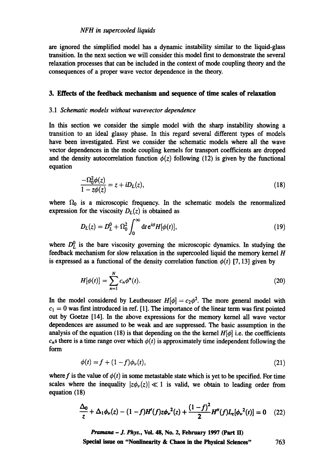## *NFH in supercooled liquids*

are ignored the simplified model has a dynamic instability similar to the liquid-glass transition. In the next section we will consider this model first to demonstrate the several relaxation processes that can be included in the context of mode coupling theory and the consequences of a proper wave vector dependence in the theory.

#### **3. Effects of the feedback mechanism and sequence of time scales of relaxation**

#### *3.1 Schematic models without wavevector dependence*

In this section we consider the simple model with the sharp instability showing a transition to an ideal glassy phase. In this regard several different types of models have been investigated. First we consider the schematic models where all the wave vector dependences in the mode coupling kernels for transport coefficients are dropped and the density autocorrelation function  $\phi(z)$  following (12) is given by the functional equation

$$
\frac{-\Omega_0^2 \phi(z)}{1 - z\phi(z)} = z + iD_L(z),\tag{18}
$$

where  $\Omega_0$  is a microscopic frequency. In the schematic models the renormalized expression for the viscosity  $D<sub>L</sub>(z)$  is obtained as

$$
D_L(z) = D_L^0 + \Omega_0^2 \int_0^\infty dt \, \mathrm{e}^{izt} H[\phi(t)], \qquad (19)
$$

where  $D_L^0$  is the bare viscosity governing the microscopic dynamics. In studying the feedback mechanism for slow relaxation in the supercooled liquid the memory kernel  $H$ is expressed as a functional of the density correlation function  $\phi(t)$  [7, 13] given by

$$
H[\phi(t)] = \sum_{n=1}^{N} c_n \phi^n(t).
$$
 (20)

In the model considered by Leutheusser  $H[\phi] = c_2\phi^2$ . The more general model with  $c_1 = 0$  was first introduced in ref. [1]. The importance of the linear term was first pointed out by Goetze [14]. In the above expressions for the memory kernel all wave vector dependences are assumed to be weak and are suppressed. The basic assumption in the analysis of the equation (18) is that depending on the the kernel  $H[\phi]$  i.e. the coefficients  $c_n$ s there is a time range over which  $\phi(t)$  is approximately time independent following the form

$$
\phi(t) = f + (1 - f)\phi_{\nu}(t),\tag{21}
$$

where f is the value of  $\phi(t)$  in some metastable state which is yet to be specified. For time scales where the inequality  $|z\phi_{\nu}(z)| \ll 1$  is valid, we obtain to leading order from equation (18)

$$
\frac{\Delta_0}{z} + \Delta_1 \phi_\nu(z) - (1 - f)H'(f)z\phi_\nu^2(z) + \frac{(1 - f)^2}{2}H''(f)L_z[\phi_\nu^2(t)] = 0 \quad (22)
$$

*Pramana - J. Phys.,* **Vol. 48, No. 2, February 1997 (Part ID** 

**Special issue on "Nonlinearity & Chaos in the Physical Sciences"** 763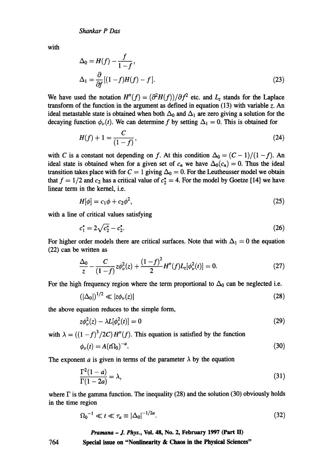with

$$
\Delta_0 = H(f) - \frac{f}{1 - f},
$$
  
\n
$$
\Delta_1 = \frac{\partial}{\partial f}[(1 - f)H(f) - f].
$$
\n(23)

We have used the notation  $H''(f) = (\partial^2 H(f))/\partial f^2$  etc. and  $L_z$  stands for the Laplace transform of the function in the argument as defined in equation (13) with variable z. An ideal metastable state is obtained when both  $\Delta_0$  and  $\Delta_1$  are zero giving a solution for the decaying function  $\phi_{\nu}(t)$ . We can determine f by setting  $\Delta_1 = 0$ . This is obtained for

$$
H(f) + 1 = \frac{C}{(1 - f)},
$$
\n(24)

with C is a constant not depending on f. At this condition  $\Delta_0 = (C - 1)/(1 - f)$ . An ideal state is obtained when for a given set of  $c_n$  we have  $\Delta_0(c_n) = 0$ . Thus the ideal transition takes place with for  $C = 1$  giving  $\Delta_0 = 0$ . For the Leutheusser model we obtain that  $f = 1/2$  and  $c_2$  has a critical value of  $c_2^* = 4$ . For the model by Goetze [14] we have linear term in the kernel, i.e.

$$
H[\phi] = c_1 \phi + c_2 \phi^2, \tag{25}
$$

with a line of critical values satisfying

$$
c_1^* = 2\sqrt{c_2^*} - c_2^*.\tag{26}
$$

For higher order models there are critical surfaces. Note that with  $\Delta_1 = 0$  the equation (22) can be written as

$$
\frac{\Delta_0}{z} - \frac{C}{(1-f)} z \phi_\nu^2(z) + \frac{(1-f)^2}{2} H''(f) L_z[\phi_\nu^2(t)] = 0.
$$
 (27)

For the high frequency region where the term proportional to  $\Delta_0$  can be neglected i.e.

$$
(|\Delta_0|)^{1/2} \ll |z\phi_\nu(z)| \tag{28}
$$

the above equation reduces to the simple form,

$$
z\phi_{\nu}^{2}(z) - \lambda L[\phi_{\nu}^{2}(t)] = 0
$$
\n(29)

with  $\lambda = ((1 - f)^3 / 2C) H''(f)$ . This equation is satisfied by the function

$$
\phi_{\nu}(t) = A(t\Omega_0)^{-a}.\tag{30}
$$

The exponent a is given in terms of the parameter  $\lambda$  by the equation

$$
\frac{\Gamma^2(1-a)}{\Gamma(1-2a)} = \lambda,\tag{31}
$$

where  $\Gamma$  is the gamma function. The inequality (28) and the solution (30) obviously holds in the time region

$$
\Omega_0^{-1} \ll t \ll \tau_a \equiv |\Delta_0|^{-1/2a}.\tag{32}
$$

*Pramana - J. Phys.,* **Vol. 48, No. 2, February 1997 (Part II)** 

764 **Special issue on "Nonlinearity & Chaos in the Physical Sciences"**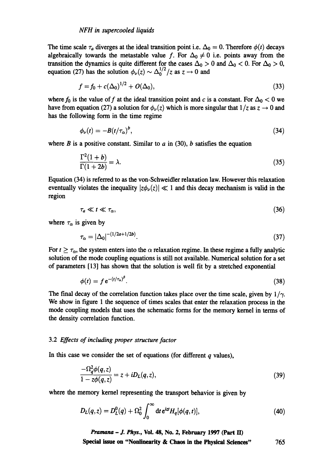The time scale  $\tau_a$  diverges at the ideal transition point i.e.  $\Delta_0 = 0$ . Therefore  $\phi(t)$  decays algebraically towards the metastable value f. For  $\Delta_0 \neq 0$  i.e. points away from the transition the dynamics is quite different for the cases  $\Delta_0 > 0$  and  $\Delta_0 < 0$ . For  $\Delta_0 > 0$ , equation (27) has the solution  $\phi_{\nu}(z) \sim \Delta_0^{1/2}/z$  as  $z \to 0$  and

$$
f = f_0 + c(\Delta_0)^{1/2} + O(\Delta_0), \tag{33}
$$

where  $f_0$  is the value of f at the ideal transition point and c is a constant. For  $\Delta_0 < 0$  we have from equation (27) a solution for  $\phi_{\nu}(z)$  which is more singular that  $1/z$  as  $z \to 0$  and has the following form in the time regime

$$
\phi_{\nu}(t) = -B(t/\tau_{\alpha})^{b},\tag{34}
$$

where  $B$  is a positive constant. Similar to  $a$  in (30),  $b$  satisfies the equation

$$
\frac{\Gamma^2(1+b)}{\Gamma(1+2b)} = \lambda.
$$
\n(35)

Equation (34) is referred to as the von-Schweidler relaxation law. However this relaxation eventually violates the inequality  $|z\phi_{\nu}(z)| \ll 1$  and this decay mechanism is valid in the region

$$
\tau_a \ll t \ll \tau_\alpha, \tag{36}
$$

where  $\tau_{\alpha}$  is given by

$$
\tau_{\alpha} = |\Delta_0|^{-(1/2a + 1/2b)}.\tag{37}
$$

For  $t \geq \tau_{\alpha}$ , the system enters into the  $\alpha$  relaxation regime. In these regime a fully analytic solution of the mode coupling equations is still not available. Numerical solution for a set of parameters [13] has shown that the solution is well fit by a stretched exponential

$$
\phi(t) = f e^{-(t/\tau_{\alpha})^p}.\tag{38}
$$

The final decay of the correlation function takes place over the time scale, given by  $1/\gamma$ . We show in figure 1 the sequence of times scales that enter the relaxation process in the mode coupling models that uses the schematic forms for the memory kernel in terms of the density correlation function.

## *3.2 Effects of including proper structure factor*

In this case we consider the set of equations (for different  $q$  values),

$$
\frac{-\Omega_q^2 \phi(q,z)}{1 - z\phi(q,z)} = z + iD_L(q,z),\tag{39}
$$

where the memory kernel representing the transport behavior is given by

$$
D_L(q, z) = D_L^0(q) + \Omega_0^2 \int_0^\infty dt \, e^{izt} H_q[\phi(q, t)], \tag{40}
$$

*Pramana - J. Phys.,* **Vol. 48, No. 2, February 1997 (Part ID Special issue on "Nonlinearity & Chaos in the Physical Sciences"**  765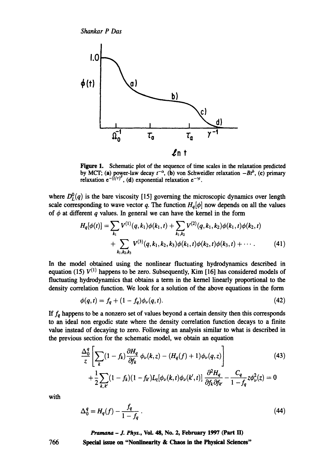

Figure 1. Schematic plot of the sequence of time scales in the relaxation predicted by MCT; (a) power-law decay  $t^{-\alpha}$ , (b) von Schweidler relaxation  $-Bt^b$ , (c) primary relaxation  $e^{-(t/\tau)^{\beta}}$ , (d) exponential relaxation  $e^{-\gamma t}$ .

where  $D_{L}^{0}(q)$  is the bare viscosity [15] governing the microscopic dynamics over length scale corresponding to wave vector q. The function  $H_q[\phi]$  now depends on all the values of  $\phi$  at different q values. In general we can have the kernel in the form

$$
H_q[\phi(t)] = \sum_{k_1} V^{(1)}(q, k_1) \phi(k_1, t) + \sum_{k_1, k_2} V^{(2)}(q, k_1, k_2) \phi(k_1, t) \phi(k_2, t)
$$
  
+ 
$$
\sum_{k_1, k_2, k_3} V^{(3)}(q, k_1, k_2, k_3) \phi(k_1, t) \phi(k_2, t) \phi(k_3, t) + \cdots
$$
 (41)

In the model obtained using the nonlinear fluctuating hydrodynamics described in equation (15)  $V^{(1)}$  happens to be zero. Subsequently, Kim [16] has considered models of fluctuating hydrodynamics that obtains a term in the kernel linearly proportional to the density correlation function. We look for a solution of the above equations in the form

$$
\phi(q,t) = f_q + (1 - f_q)\phi_\nu(q,t). \tag{42}
$$

If  $f_q$  happens to be a nonzero set of values beyond a certain density then this corresponds to an ideal non ergodic state where the density correlation function decays to a finite value instead of decaying to zero. Following an analysis similar to what is described in the previous section for the schematic model, we obtain an equation

$$
\frac{\Delta_0^q}{z} \left[ \sum_k (1 - f_k) \frac{\partial H_q}{\partial f_k} \phi_\nu(k, z) - (H_q(f) + 1) \phi_\nu(q, z) \right]
$$
\n
$$
+ \frac{1}{2} \sum_{k, k'} (1 - f_k)(1 - f_{k'}) L_z[\phi_\nu(k, t) \phi_\nu(k', t)] \frac{\partial^2 H_q}{\partial f_k \partial f_{k'}} - \frac{C_q}{1 - f_q} z \phi_\nu^2(z) = 0
$$
\n(43)

*with* 

$$
\Delta_0^q = H_q(f) - \frac{f_q}{1 - f_q} \,. \tag{44}
$$

*Pramana - J. Phys.,* **Vol. 48, No. 2, February 1997 (Part II)** 

**Special issue on "Nonlinearity & Chaos in the Physical Sciences"**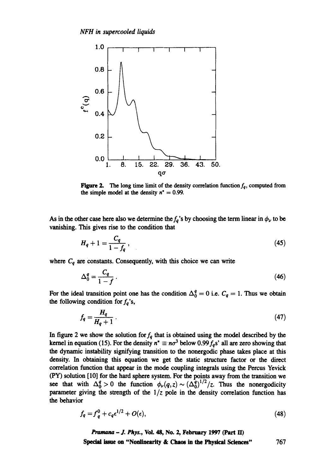

**Figure 2.** The long time limit of the density correlation function  $f_q$ , computed from the simple model at the density  $n^* = 0.99$ .

As in the other case here also we determine the  $f_q$ 's by choosing the term linear in  $\phi_\nu$  to be vanishing. This gives rise to the condition that

$$
H_q + 1 = \frac{C_q}{1 - f_q} \,, \tag{45}
$$

where  $C_q$  are constants. Consequently, with this choice we can write

$$
\Delta_0^q = \frac{C_q}{1 - f} \,. \tag{46}
$$

For the ideal transition point one has the condition  $\Delta_0^q = 0$  i.e.  $C_q = 1$ . Thus we obtain the following condition for  $f_q$ 's,

$$
f_q = \frac{H_q}{H_q + 1} \tag{47}
$$

In figure 2 we show the solution for  $f_q$  that is obtained using the model described by the kernel in equation (15). For the density  $n^* \equiv n\sigma^3$  below 0.99  $f_a$ s' all are zero showing that the dynamic instability signifying transition to the nonergodic phase takes place at this density. In obtaining this equation we get the static structure factor or the direct correlation function that appear in the mode coupling integrals using the Percus Yevick (PY) solution [10] for the hard sphere system. For the points away from the transition we see that with  $\Delta_0^2 > 0$  the function  $\phi_{\nu}(q, z) \sim (\Delta_0^2)^{1/2}/z$ . Thus the nonergodicity parameter giving the strength of the *1/z* pole in the density correlation function has the behavior

$$
f_q = f_q^0 + c_q \epsilon^{1/2} + O(\epsilon),\tag{48}
$$

*Pramana- J. Phys.,* Vol. 48, No. 2, February 1997 (Part E0 Special issue on "Nonlinearity **& Chaos in the Physical Sciences"** 767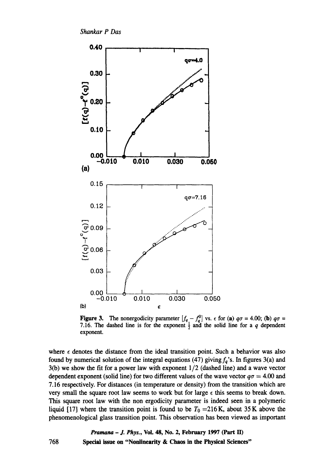

**Figure 3.** The nonergodicity parameter  $[f_q - f_q^0]$  vs.  $\epsilon$  for (a)  $q\sigma = 4.00$ ; (b)  $q\sigma =$ 7.16. The dashed line is for the exponent  $\frac{1}{2}$  and the solid line for a q dependent exponent.

where  $\epsilon$  denotes the distance from the ideal transition point. Such a behavior was also found by numerical solution of the integral equations (47) giving  $f_q$ 's. In figures 3(a) and 3(b) we show the fit for a power law with exponent 1/2 (dashed line) and a wave vector dependent exponent (solid line) for two different values of the wave vector  $q\sigma = 4.00$  and 7.16 respectively. For distances (in temperature or density) from the transition which are very small the square root law seems to work but for large  $\epsilon$  this seems to break down. This square root law with the non ergodicity parameter is indeed seen in a polymeric liquid [17] where the transition point is found to be  $T_0 = 216$  K, about 35 K above the phenomenological glass transition point. This observation has been viewed as important

> *Pramana - J. Phys.,* Voi. 48, No. 2, February 1997 (Part lI) Special issue on "Nonlinearity **& Chaos in the Physical Sciences"**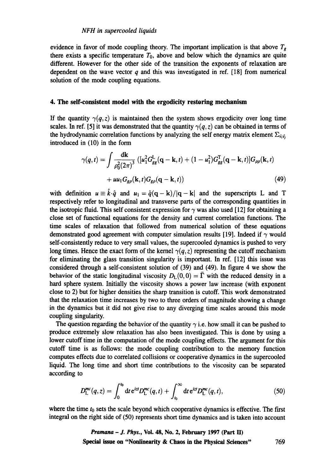evidence in favor of mode coupling theory. The important implication is that above  $T_g$ there exists a specific temperature  $T_0$ , above and below which the dynamics are quite different. However for the other side of the transition the exponents of relaxation are dependent on the wave vector  $q$  and this was investigated in ref. [18] from numerical solution of the mode coupling equations.

## **4. The self-consistent model with the ergodicity restoring mechanism**

If the quantity  $\gamma(q, z)$  is maintained then the system shows ergodicity over long time scales. In ref. [5] it was demonstrated that the quantity  $\gamma(q, z)$  can be obtained in terms of the hydrodynamic correlation functions by analyzing the self energy matrix element  $\Sigma_{\varphi,\varphi}$ introduced in (10) in the form

$$
\gamma(q,t) = \int \frac{\mathrm{d}\mathbf{k}}{\rho_0^2 (2\pi)^3} \left( [u_1^2 G_{gg}^{\mathrm{L}}(\mathbf{q}-\mathbf{k},t) + (1-u_1^2) G_{gg}^{\mathrm{T}}(\mathbf{q}-\mathbf{k},t) \right) G_{\rho\rho}(\mathbf{k},t)
$$

$$
+ u u_1 G_{gg}(\mathbf{k},t) G_{gg}(\mathbf{q}-\mathbf{k},t) \tag{49}
$$

with definition  $u \equiv \hat{k} \cdot \hat{q}$  and  $u_1 = \hat{q}(q-k)/|q-k|$  and the superscripts L and T respectively refer to longitudinal and transverse parts of the corresponding quantities in the isotropic fluid. This self consistent expression for  $\gamma$  was also used [12] for obtaining a close set of functional equations for the density and current correlation functions. The time scales of relaxation that followed from numerical solution of these equations demonstrated good agreement with computer simulation results [19]. Indeed if  $\gamma$  would self-consistently reduce to very small values, the supercooled dynamics is pushed to very long times. Hence the exact form of the kernel  $\gamma(q, z)$  representing the cutoff mechanism for eliminating the glass transition singularity is important. In ref. [12] this issue was considered through a self-consistent solution of (39) and (49). In figure 4 we show the behavior of the static longitudinal viscosity  $D_L(0, 0) = \overline{\Gamma}$  with the reduced density in a hard sphere system. Initially the viscosity shows a power law increase (with exponent close to 2) but for higher densities the sharp transition is cutoff. This work demonstrated that the relaxation time increases by two to three orders of magnitude showing a change in the dynamics but it did not give rise to any diverging time scales around this mode coupling singularity.

The question regarding the behavior of the quantity  $\gamma$  i.e. how small it can be pushed to produce extremely slow relaxation has also been investigated. This is done by using a lower cutoff time in the computation of the mode coupling effects. The argument for this cutoff time is as follows: the mode coupling contribution to the memory function computes effects due to correlated collisions or cooperative dynamics in the supercooled liquid. The long time and short time contributions to the viscosity can be separated according to

$$
D_{\rm L}^{mc}(q,z) = \int_0^{t_0} dt \, \mathrm{e}^{izt} D_{\rm L}^{mc}(q,t) + \int_{t_0}^{\infty} dt \, \mathrm{e}^{izt} D_{\rm L}^{mc}(q,t), \tag{50}
$$

where the time  $t_0$  sets the scale beyond which cooperative dynamics is effective. The first integral on the right side of (50) represents short time dynamics and is taken into account

> *Pramana - J. Phys.,* **Voi. 48, No. 2, February 1997 (Part lI) Spedal issue on "Nonlinearity & Chaos in the Physical Sciences"** 769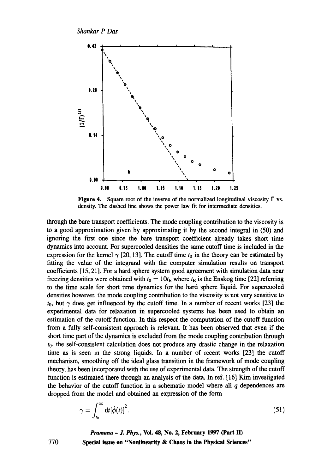*Shankar P Das* 



Figure 4. Square root of the inverse of the normalized longitudinal viscosity  $\bar{\Gamma}$  vs. density. The dashed line shows the power law fit for intermediate densities.

through the bare transport coefficients. The mode coupling contribution to the viscosity is to a good approximation given by approximating it by the second integral in (50) and ignoring the first one since the bare transport coefficient already takes short time dynamics into account. For supercooled densities the same cutoff time is included in the expression for the kernel  $\gamma$  [20, 13]. The cutoff time  $t_0$  in the theory can be estimated by fitting the value of the integrand with the computer simulation results on transport coefficients [15, 21]. For a hard sphere system good agreement with simulation data near freezing densities were obtained with  $t_0 = 10t_E$  where  $t_E$  is the Enskog time [22] referring to the time scale for short time dynamics for the hard sphere liquid. For supercooled densities however, the mode coupling contribution to the viscosity is not very sensitive to  $t_0$ , but  $\gamma$  does get influenced by the cutoff time. In a number of recent works [23] the experimental data for relaxation in supercooled systems has been used to obtain an estimation of the cutoff function. In this respect the computation of the cutoff function from a fully self-consistent approach is relevant. It has been observed that even if the short time part of the dynamics is excluded from the mode coupling contribution through  $t<sub>0</sub>$ , the self-consistent calculation does not produce any drastic change in the relaxation time as is seen in the strong liquids. In a number of recent works [23] the cutoff mechanism, smoothing off the ideal glass transition in the framework of mode coupling theory, has been incorporated with the use of experimental data. The strength of the cutoff function is estimated there through an analysis of the data. In ref. [16] Kim investigated the behavior of the cutoff function in a schematic model where all  $q$  dependences are dropped from the model and obtained an expression of the form

$$
\gamma = \int_{t_0}^{\infty} \mathrm{d}t [\dot{\phi}(t)]^2. \tag{51}
$$

*Pramana - J. Phys.,* Vol. 48, No. 2, February 1997 (Part H) Special **issue on "Nonlinearity & Chaos in the Physical Sciences"**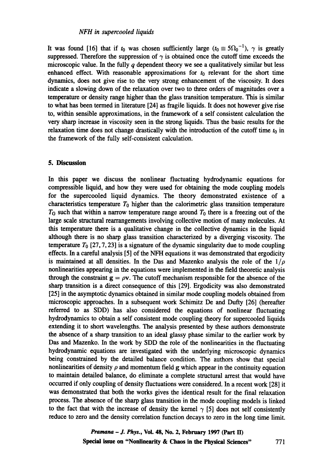It was found [16] that if  $t_0$  was chosen sufficiently large  $(t_0 \equiv 5\Omega_0^{-1})$ ,  $\gamma$  is greatly suppressed. Therefore the suppression of  $\gamma$  is obtained once the cutoff time exceeds the microscopic value. In the fully  $q$  dependent theory we see a qualitatively similar but less enhanced effect. With reasonable approximations for  $t_0$  relevant for the short time dynamics, does not give rise to the very strong enhancement of the viscosity. It does indicate a slowing down of the relaxation over two to three orders of magnitudes over a temperature or density range higher than the glass transition temperature. This is similar to what has been termed in literature [24] as fragile liquids. It does not however give rise to, within sensible approximations, in the framework of a self consistent calculation the very sharp increase in viscosity seen in the strong liquids. Thus the basic results for the relaxation time does not change drastically with the introduction of the cutoff time  $t_0$  in the framework of the fully self-consistent calculation.

## **5. Discussion**

In this paper we discuss the nonlinear fluctuating hydrodynamic equations for compressible liquid, and how they were used for obtaining the mode coupling models for the supercooled liquid dynamics. The theory demonstrated existence of a characteristics temperature  $T_0$  higher than the calorimetric glass transition temperature  $T<sub>G</sub>$  such that within a narrow temperature range around  $T<sub>0</sub>$  there is a freezing out of the large scale structural rearrangements involving collective motion of many molecules. At this temperature there is a qualitative change in the collective dynamics in the liquid although there is no sharp glass transition characterized by a diverging viscosity. The temperature  $T_0$  [27, 7, 23] is a signature of the dynamic singularity due to mode coupling effects. In a careful analysis [5] of the NFH equations it was demonstrated that ergodicity is maintained at all densities. In the Das and Mazenko analysis the role of the  $1/\rho$ nonlinearities appearing in the equations were implemented in the field theoretic analysis through the constraint  $g = \rho v$ . The cutoff mechanism responsible for the absence of the sharp transition is a direct consequence of this [29]. Ergodicity was also demonstrated [25] in the asymptotic dynamics obtained in similar mode coupling models obtained from microscopic approaches. In a subsequent work Schimitz De and Dufty [26] (hereafter referred to as SDD) has also considered the equations of nonlinear fluctuating hydrodynamics to obtain a self consistent mode coupling, theory for supercooled liquids extending it to short wavelengths. The analysis presented by these authors demonstrate the absence of a sharp transition to an ideal glassy phase similar to the earlier work by Das and Mazenko. In the work by SDD the role of the nonlinearities in the fluctuating hydrodynamic equations are investigated with the underlying microscopic dynamics being constrained by the detailed balance condition. The authors show that special nonlinearities of density  $\rho$  and momentum field g which appear in the continuity equation to maintain detailed balance, do eliminate a complete structural arrest that would have occurred if only coupling of density fluctuations were considered. In a recent work [28] it was demonstrated that both the works gives the identical result for the final relaxation process. The absence of the sharp glass transition in the mode coupling models is linked to the fact that with the increase of density the kernel  $\gamma$  [5] does not self consistently reduce to zero and the density correlation function decays to zero in the long time limit.

> *Pramana - J. Phys.,* **Vol. 48, No. 2, February 1997 (Part !]) Special issue on "Nonlinearity & Chaos in the Physical Sciences"** 771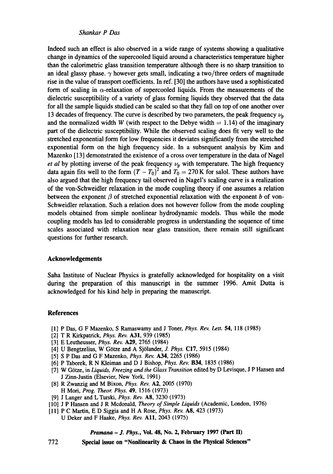Indeed such an effect is also observed in a wide range of systems showing a qualitative change in dynamics of the supercooled liquid around a characteristics temperature higher than the calorimetric glass transition temperature although there is no sharp transition to an ideal glassy phase.  $\gamma$  however gets small, indicating a two/three orders of magnitude rise in the value of transport coefficients. In ref. [30] the authors have used a sophisticated form of scaling in  $\alpha$ -relaxation of supercooled liquids. From the measurements of the dielectric susceptibility of a variety of glass forming liquids they observed that the data for all the sample liquids studied can be scaled so that they fall on top of one another over 13 decades of frequency. The curve is described by two parameters, the peak frequency  $\nu_p$ and the normalized width W (with respect to the Debye width  $= 1.14$ ) of the imaginary part of the dielectric susceptibility. While the observed scaling does fit very well to the stretched exponential form for low frequencies it deviates significantly from the stretched exponential form on the high frequency side. In a subsequent analysis by Kim and Mazenko [13] demonstrated the existence of a cross over temperature in the data of Nagel *et al* by plotting inverse of the peak frequency  $\nu_p$  with temperature. The high frequency data again fits well to the form  $(T - T_0)^2$  and  $T_0 = 270$  K for salol. These authors have also argued that the high frequency tail observed in Nagel's scaling curve is a realization of the von-Schweidler relaxation in the mode coupling theory if one assumes a relation between the exponent  $\beta$  of stretched exponential relaxation with the exponent b of von-Schweidler relaxation. Such a relation does not however follow from the mode coupling models obtained from simple nonlinear hydrodynamic models. Thus while the mode coupling models has led to considerable progress in understanding the sequence of time scales associated with relaxation near glass transition, there remain still significant questions for further research.

#### **Acknowledgements**

Saha Institute of Nuclear Physics is gratefully acknowledged for hospitality on a visit during the preparation of this manuscript in the summer 1996. Amit Dutta is acknowledged for his kind help in preparing the manuscript.

#### **References**

- [1] P Das, G F Mazenko, S Ramaswamy and J Toner, *Phys. Rev. Lett.* 54, 118 (1985)
- [2] T R Kirkpatrick, *Phys. Rev.* A31, 939 (1985)
- [3] E Leutheusser, *Phys. Rev.* A29, 2765 (1984)
- [4] U Bengtzelius, W Götze and A Sjölander, *J. Phys.* C17, 5915 (1984)
- [5] S P Das and G F Mazenko, *Phys. Rev.* A34, 2265 (1986)
- [6] P Taborek, R N Kleiman and D J Bishop, *Phys. Rev.* B34, 1835 (1986)
- [7] W Gttze, in *Liquids, Freezing and the Glass Transition* edited by D Levisque, J P Hansen and J Zinn-Justin (Elsevier, New York, 1991)
- [8] R Zwanzig and M Bixon, *Phys. Rev. A2,* 2005 (1970) H Mori, *Prog. Theor. Phys.* 49, 1516 (1973)
- [9] J Langer and L Turski, *Phys. Rev.* A8, 3230 (1973)
- [10] J P Hansen and J R Mcdonald, *Theory of Simple Liquids* (Academic, London, 1976)
- [11] P C Martin, E D Siggia and H A Rose, *Phys. Rev.* A8, 423 (1973) U Deker and F Haake, *Phys. Rev.* All, 2043 (1975)

#### *Pramana - J. Phys.,* **Vol. 48, No. 2, February 1997 (Part H)**

772 **Special issue on "Nonlinearity & Chaos in the Physical Sciences"**